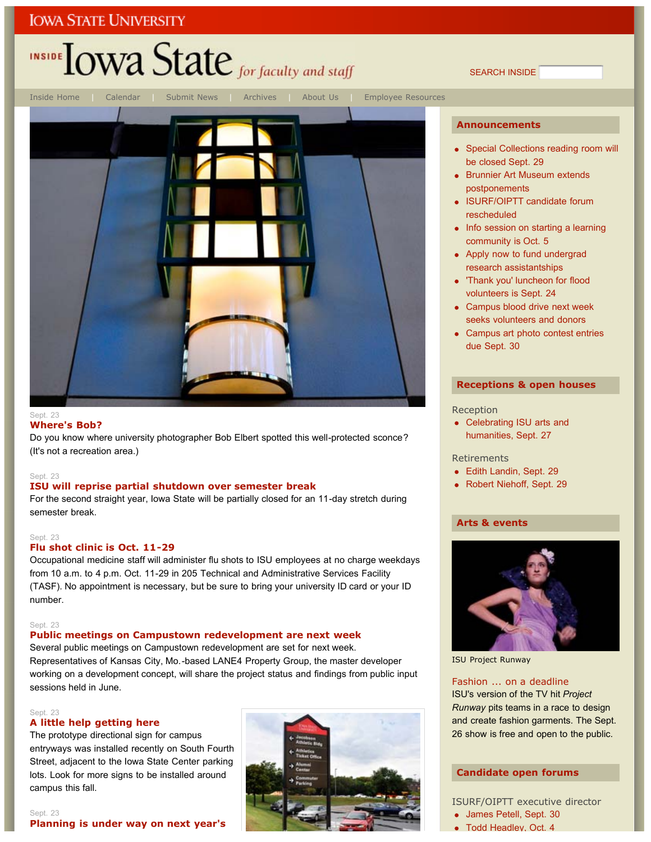## INSIDE **LOWA State** for faculty and staff





#### **Where's Bob?**

Do you know where university photographer Bob Elbert spotted this well-protected sconce? (It's not a recreation area.)

#### Sept. 23

#### **ISU will reprise partial shutdown over semester break**

For the second straight year, Iowa State will be partially closed for an 11-day stretch during semester break.

#### Sept. 23

#### **Flu shot clinic is Oct. 11-29**

Occupational medicine staff will administer flu shots to ISU employees at no charge weekdays from 10 a.m. to 4 p.m. Oct. 11-29 in 205 Technical and Administrative Services Facility (TASF). No appointment is necessary, but be sure to bring your university ID card or your ID number.

#### Sept. 23

#### **Public meetings on Campustown redevelopment are next week**

Several public meetings on Campustown redevelopment are set for next week. Representatives of Kansas City, Mo.-based LANE4 Property Group, the master developer working on a development concept, will share the project status and findings from public input sessions held in June.

#### Sept. 23

#### **A little help getting here**

The prototype directional sign for campus entryways was installed recently on South Fourth Street, adjacent to the Iowa State Center parking lots. Look for more signs to be installed around campus this fall.



#### **Announcements**

SEARCH INSIDE

- Special Collections reading room will be closed Sept. 29
- Brunnier Art Museum extends postponements
- ISURF/OIPTT candidate forum rescheduled
- Info session on starting a learning community is Oct. 5
- Apply now to fund undergrad research assistantships
- 'Thank you' luncheon for flood volunteers is Sept. 24
- Campus blood drive next week seeks volunteers and donors
- Campus art photo contest entries due Sept. 30

#### **Receptions & open houses**

#### Reception

• Celebrating ISU arts and humanities, Sept. 27

Retirements

- Edith Landin, Sept. 29
- Robert Niehoff, Sept. 29

#### **Arts & events**



ISU Project Runway

#### Fashion ... on a deadline

ISU's version of the TV hit *Project Runway* pits teams in a race to design and create fashion garments. The Sept. 26 show is free and open to the public.

#### **Candidate open forums**

ISURF/OIPTT executive director

- James Petell, Sept. 30
- Todd Headley, Oct. 4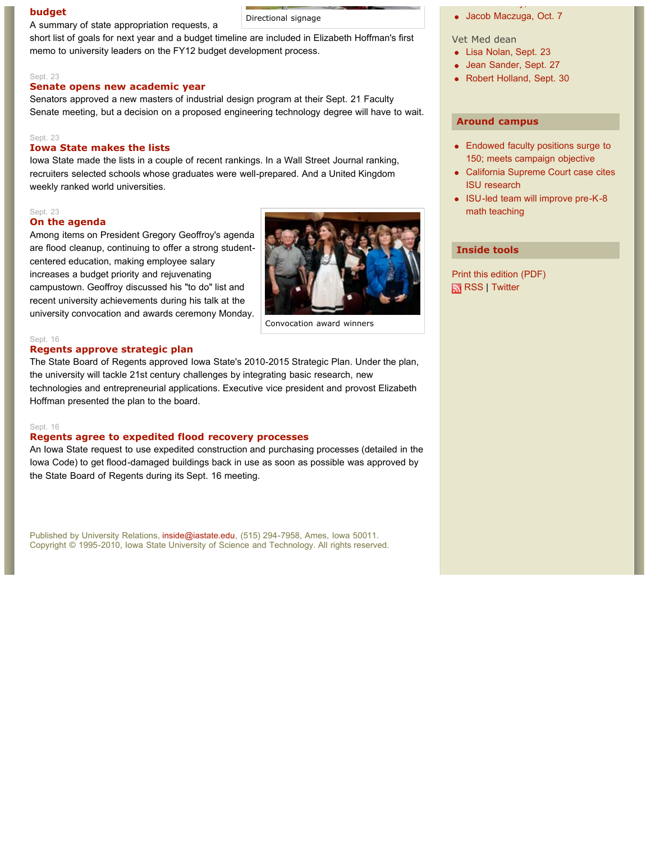**budget budget budget budget budget budget budget budget budget budget budget budget budget budget budget budget budget budget budget budget budget budget budget budget budge** A summary of state appropriation requests, a

short list of goals for next year and a budget timeline are included in Elizabeth Hoffman's first memo to university leaders on the FY12 budget development process.

#### Sept. 23

#### **Senate opens new academic year**

Senators approved a new masters of industrial design program at their Sept. 21 Faculty Senate meeting, but a decision on a proposed engineering technology degree will have to wait.

#### Sept. 23

#### **Iowa State makes the lists**

Iowa State made the lists in a couple of recent rankings. In a Wall Street Journal ranking, recruiters selected schools whose graduates were well-prepared. And a United Kingdom weekly ranked world universities.

#### Sept. 23

#### **On the agenda**

Among items on President Gregory Geoffroy's agenda are flood cleanup, continuing to offer a strong studentcentered education, making employee salary increases a budget priority and rejuvenating campustown. Geoffroy discussed his "to do" list and recent university achievements during his talk at the university convocation and awards ceremony Monday.



Convocation award winners

#### Sept. 16

#### **Regents approve strategic plan**

The State Board of Regents approved Iowa State's 2010-2015 Strategic Plan. Under the plan, the university will tackle 21st century challenges by integrating basic research, new technologies and entrepreneurial applications. Executive vice president and provost Elizabeth Hoffman presented the plan to the board.

#### Sept. 16

#### **Regents agree to expedited flood recovery processes**

An Iowa State request to use expedited construction and purchasing processes (detailed in the Iowa Code) to get flood-damaged buildings back in use as soon as possible was approved by the State Board of Regents during its Sept. 16 meeting.

Published by University Relations, inside@iastate.edu, (515) 294-7958, Ames, Iowa 50011. Copyright © 1995-2010, Iowa State University of Science and Technology. All rights reserved.

odd ead ead ey, oo ee Jacob Maczuga, Oct. 7

Vet Med dean

- Lisa Nolan, Sept. 23
- Jean Sander, Sept. 27
- Robert Holland, Sept. 30

#### **Around campus**

- Endowed faculty positions surge to 150; meets campaign objective
- California Supreme Court case cites ISU research
- ISU-led team will improve pre-K-8 math teaching

#### **Inside tools**

Print this edition (PDF) RSS | Twitter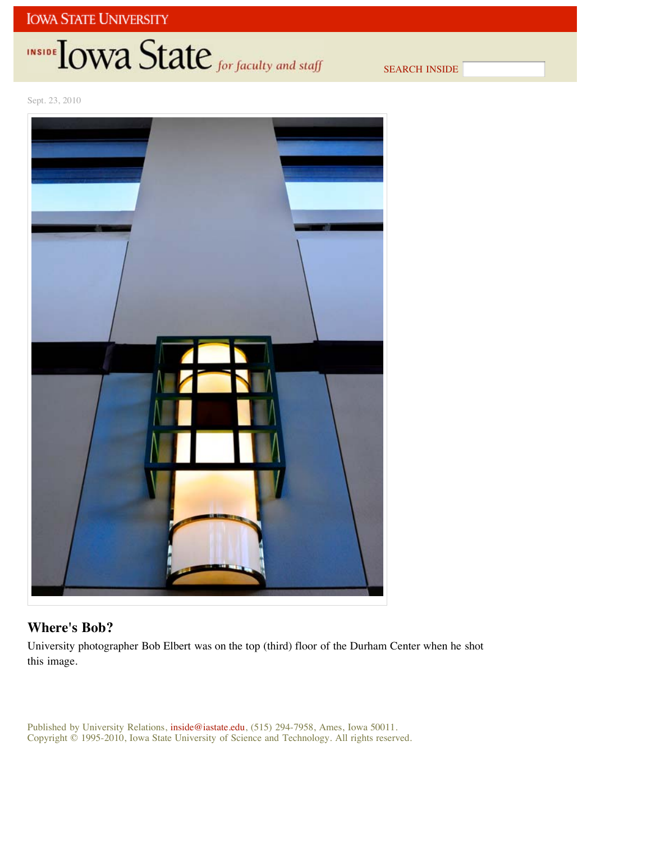# INSIDE TOWA State for faculty and staff

SEARCH INSIDE

Sept. 23, 2010



#### **Where's Bob?**

University photographer Bob Elbert was on the top (third) floor of the Durham Center when he shot this image.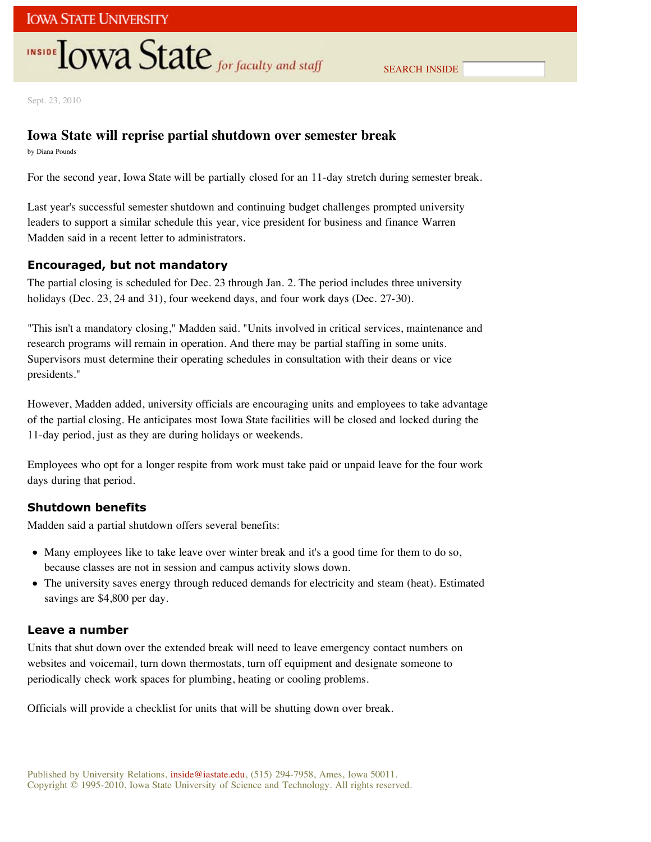Sept. 23, 2010

#### **Iowa State will reprise partial shutdown over semester break**

by Diana Pounds

For the second year, Iowa State will be partially closed for an 11-day stretch during semester break.

Last year's successful semester shutdown and continuing budget challenges prompted university leaders to support a similar schedule this year, vice president for business and finance Warren Madden said in a recent letter to administrators.

#### **Encouraged, but not mandatory**

The partial closing is scheduled for Dec. 23 through Jan. 2. The period includes three university holidays (Dec. 23, 24 and 31), four weekend days, and four work days (Dec. 27-30).

"This isn't a mandatory closing," Madden said. "Units involved in critical services, maintenance and research programs will remain in operation. And there may be partial staffing in some units. Supervisors must determine their operating schedules in consultation with their deans or vice presidents."

However, Madden added, university officials are encouraging units and employees to take advantage of the partial closing. He anticipates most Iowa State facilities will be closed and locked during the 11-day period, just as they are during holidays or weekends.

Employees who opt for a longer respite from work must take paid or unpaid leave for the four work days during that period.

#### **Shutdown benefits**

Madden said a partial shutdown offers several benefits:

- Many employees like to take leave over winter break and it's a good time for them to do so, because classes are not in session and campus activity slows down.
- The university saves energy through reduced demands for electricity and steam (heat). Estimated savings are \$4,800 per day.

#### **Leave a number**

Units that shut down over the extended break will need to leave emergency contact numbers on websites and voicemail, turn down thermostats, turn off equipment and designate someone to periodically check work spaces for plumbing, heating or cooling problems.

Officials will provide a checklist for units that will be shutting down over break.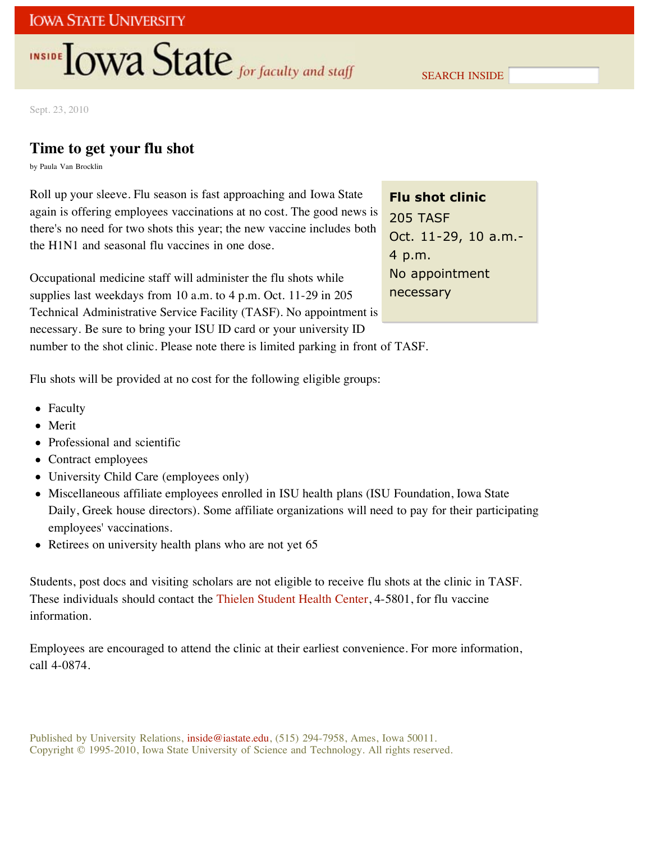SEARCH INSIDE

Sept. 23, 2010

### **Time to get your flu shot**

by Paula Van Brocklin

Roll up your sleeve. Flu season is fast approaching and Iowa State again is offering employees vaccinations at no cost. The good news is there's no need for two shots this year; the new vaccine includes both the H1N1 and seasonal flu vaccines in one dose.

Occupational medicine staff will administer the flu shots while supplies last weekdays from 10 a.m. to 4 p.m. Oct. 11-29 in 205 Technical Administrative Service Facility (TASF). No appointment is necessary. Be sure to bring your ISU ID card or your university ID

**Flu shot clinic** 205 TASF Oct. 11-29, 10 a.m.- 4 p.m. No appointment necessary

number to the shot clinic. Please note there is limited parking in front of TASF.

Flu shots will be provided at no cost for the following eligible groups:

- Faculty
- Merit
- Professional and scientific
- Contract employees
- University Child Care (employees only)
- Miscellaneous affiliate employees enrolled in ISU health plans (ISU Foundation, Iowa State Daily, Greek house directors). Some affiliate organizations will need to pay for their participating employees' vaccinations.
- Retirees on university health plans who are not yet 65

Students, post docs and visiting scholars are not eligible to receive flu shots at the clinic in TASF. These individuals should contact the Thielen Student Health Center, 4-5801, for flu vaccine information.

Employees are encouraged to attend the clinic at their earliest convenience. For more information, call 4-0874.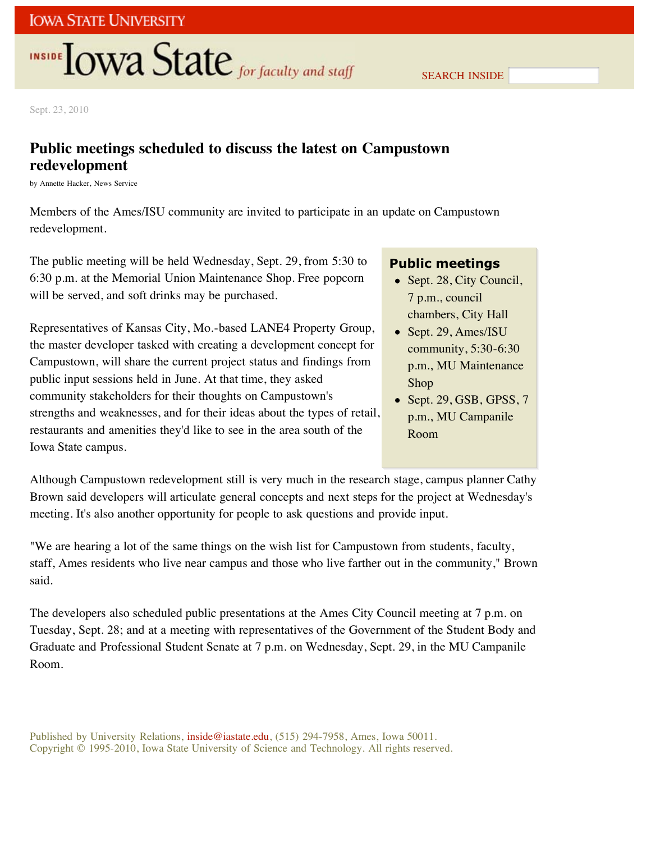Sept. 23, 2010

## **Public meetings scheduled to discuss the latest on Campustown redevelopment**

by Annette Hacker, News Service

Members of the Ames/ISU community are invited to participate in an update on Campustown redevelopment.

The public meeting will be held Wednesday, Sept. 29, from 5:30 to 6:30 p.m. at the Memorial Union Maintenance Shop. Free popcorn will be served, and soft drinks may be purchased.

Representatives of Kansas City, Mo.-based LANE4 Property Group, the master developer tasked with creating a development concept for Campustown, will share the current project status and findings from public input sessions held in June. At that time, they asked community stakeholders for their thoughts on Campustown's strengths and weaknesses, and for their ideas about the types of retail, restaurants and amenities they'd like to see in the area south of the Iowa State campus.

#### **Public meetings**

- Sept. 28, City Council, 7 p.m., council chambers, City Hall
- Sept. 29, Ames/ISU community, 5:30-6:30 p.m., MU Maintenance Shop
- $\bullet$  Sept. 29, GSB, GPSS, 7 p.m., MU Campanile Room

Although Campustown redevelopment still is very much in the research stage, campus planner Cathy Brown said developers will articulate general concepts and next steps for the project at Wednesday's meeting. It's also another opportunity for people to ask questions and provide input.

"We are hearing a lot of the same things on the wish list for Campustown from students, faculty, staff, Ames residents who live near campus and those who live farther out in the community," Brown said.

The developers also scheduled public presentations at the Ames City Council meeting at 7 p.m. on Tuesday, Sept. 28; and at a meeting with representatives of the Government of the Student Body and Graduate and Professional Student Senate at 7 p.m. on Wednesday, Sept. 29, in the MU Campanile Room.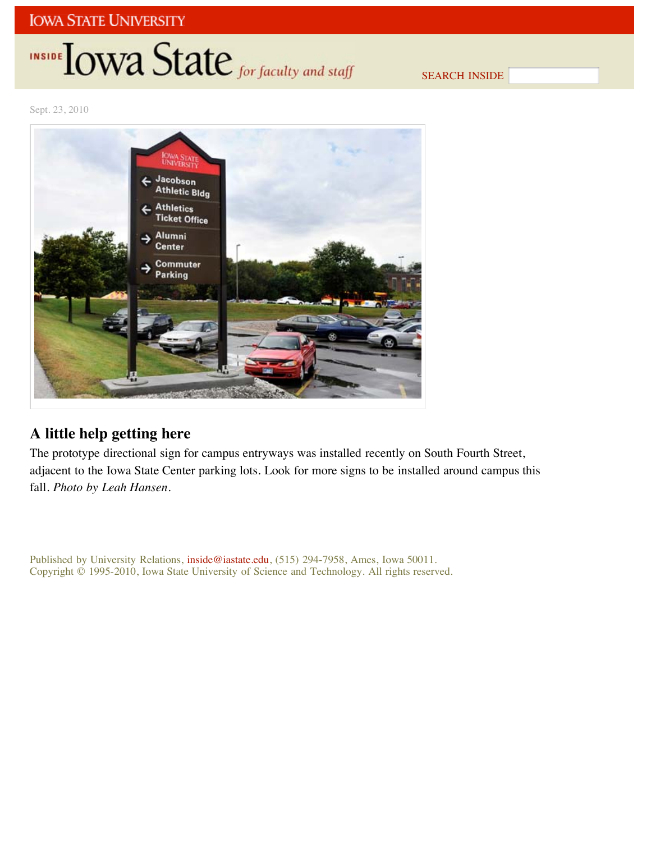## INSIDE **IOWA State** for faculty and staff

SEARCH INSIDE

Sept. 23, 2010



## **A little help getting here**

The prototype directional sign for campus entryways was installed recently on South Fourth Street, adjacent to the Iowa State Center parking lots. Look for more signs to be installed around campus this fall. *Photo by Leah Hansen*.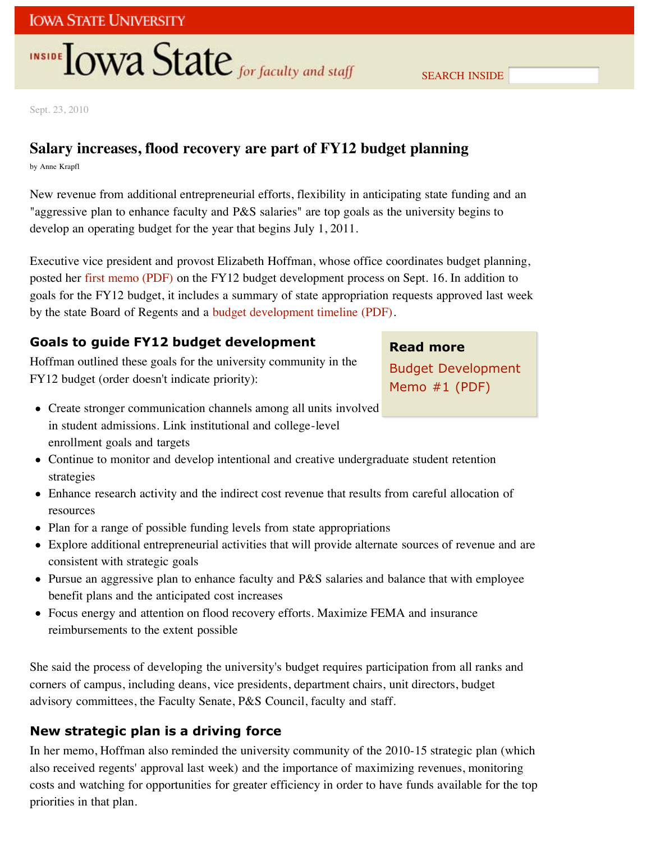Sept. 23, 2010

## **Salary increases, flood recovery are part of FY12 budget planning**

by Anne Krapfl

New revenue from additional entrepreneurial efforts, flexibility in anticipating state funding and an "aggressive plan to enhance faculty and P&S salaries" are top goals as the university begins to develop an operating budget for the year that begins July 1, 2011.

Executive vice president and provost Elizabeth Hoffman, whose office coordinates budget planning, posted her first memo (PDF) on the FY12 budget development process on Sept. 16. In addition to goals for the FY12 budget, it includes a summary of state appropriation requests approved last week by the state Board of Regents and a budget development timeline (PDF).

### **Goals to guide FY12 budget development**

Hoffman outlined these goals for the university community in the FY12 budget (order doesn't indicate priority):

#### **Read more**

Budget Development Memo #1 (PDF)

- Create stronger communication channels among all units involved in student admissions. Link institutional and college-level enrollment goals and targets
- Continue to monitor and develop intentional and creative undergraduate student retention strategies
- Enhance research activity and the indirect cost revenue that results from careful allocation of resources
- Plan for a range of possible funding levels from state appropriations
- Explore additional entrepreneurial activities that will provide alternate sources of revenue and are consistent with strategic goals
- Pursue an aggressive plan to enhance faculty and P&S salaries and balance that with employee benefit plans and the anticipated cost increases
- Focus energy and attention on flood recovery efforts. Maximize FEMA and insurance reimbursements to the extent possible

She said the process of developing the university's budget requires participation from all ranks and corners of campus, including deans, vice presidents, department chairs, unit directors, budget advisory committees, the Faculty Senate, P&S Council, faculty and staff.

## **New strategic plan is a driving force**

In her memo, Hoffman also reminded the university community of the 2010-15 strategic plan (which also received regents' approval last week) and the importance of maximizing revenues, monitoring costs and watching for opportunities for greater efficiency in order to have funds available for the top priorities in that plan.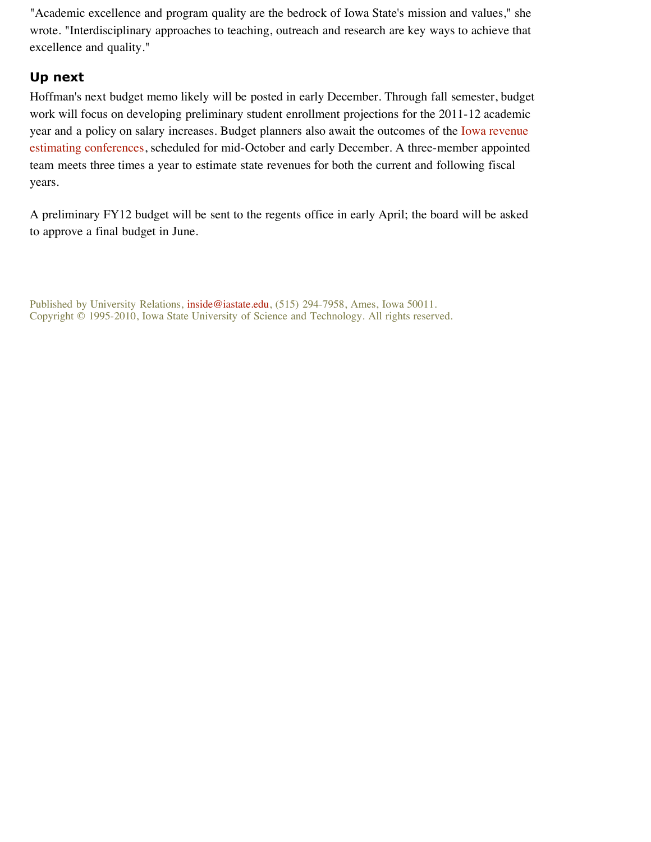"Academic excellence and program quality are the bedrock of Iowa State's mission and values," she wrote. "Interdisciplinary approaches to teaching, outreach and research are key ways to achieve that excellence and quality."

### **Up next**

Hoffman's next budget memo likely will be posted in early December. Through fall semester, budget work will focus on developing preliminary student enrollment projections for the 2011-12 academic year and a policy on salary increases. Budget planners also await the outcomes of the Iowa revenue estimating conferences, scheduled for mid-October and early December. A three-member appointed team meets three times a year to estimate state revenues for both the current and following fiscal years.

A preliminary FY12 budget will be sent to the regents office in early April; the board will be asked to approve a final budget in June.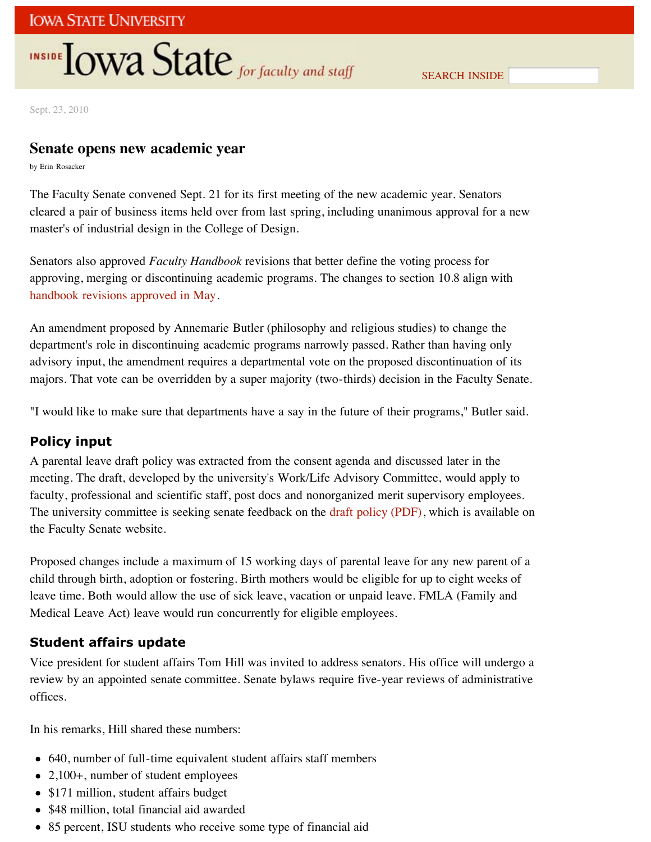SEARCH INSIDE

Sept. 23, 2010

### **Senate opens new academic year**

by Erin Rosacker

The Faculty Senate convened Sept. 21 for its first meeting of the new academic year. Senators cleared a pair of business items held over from last spring, including unanimous approval for a new master's of industrial design in the College of Design.

Senators also approved *Faculty Handbook* revisions that better define the voting process for approving, merging or discontinuing academic programs. The changes to section 10.8 align with handbook revisions approved in May.

An amendment proposed by Annemarie Butler (philosophy and religious studies) to change the department's role in discontinuing academic programs narrowly passed. Rather than having only advisory input, the amendment requires a departmental vote on the proposed discontinuation of its majors. That vote can be overridden by a super majority (two-thirds) decision in the Faculty Senate.

"I would like to make sure that departments have a say in the future of their programs," Butler said.

#### **Policy input**

A parental leave draft policy was extracted from the consent agenda and discussed later in the meeting. The draft, developed by the university's Work/Life Advisory Committee, would apply to faculty, professional and scientific staff, post docs and nonorganized merit supervisory employees. The university committee is seeking senate feedback on the draft policy (PDF), which is available on the Faculty Senate website.

Proposed changes include a maximum of 15 working days of parental leave for any new parent of a child through birth, adoption or fostering. Birth mothers would be eligible for up to eight weeks of leave time. Both would allow the use of sick leave, vacation or unpaid leave. FMLA (Family and Medical Leave Act) leave would run concurrently for eligible employees.

#### **Student affairs update**

Vice president for student affairs Tom Hill was invited to address senators. His office will undergo a review by an appointed senate committee. Senate bylaws require five-year reviews of administrative offices.

In his remarks, Hill shared these numbers:

- 640, number of full-time equivalent student affairs staff members
- 2,100+, number of student employees
- \$171 million, student affairs budget
- \$48 million, total financial aid awarded
- 85 percent, ISU students who receive some type of financial aid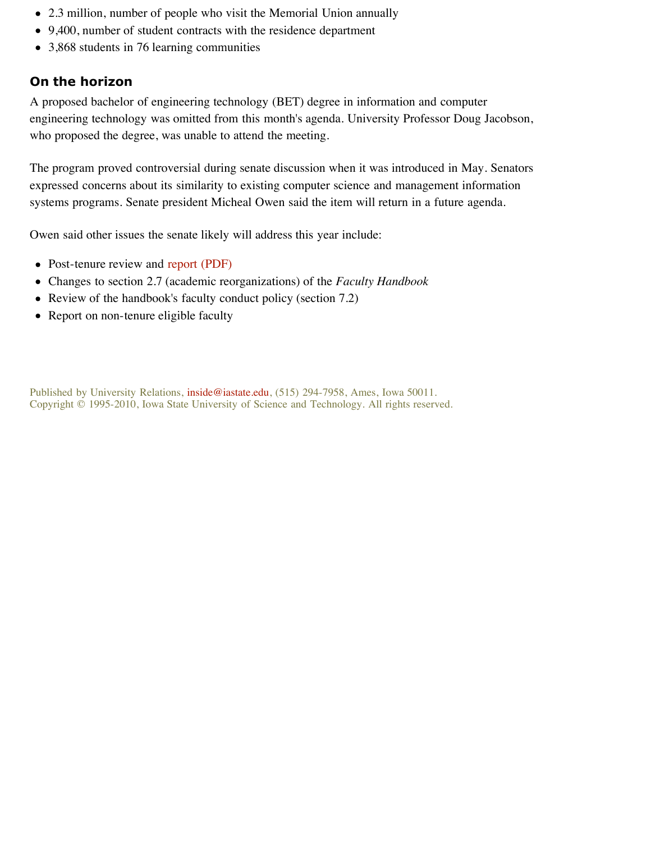- 2.3 million, number of people who visit the Memorial Union annually
- 9,400, number of student contracts with the residence department
- 3,868 students in 76 learning communities

### **On the horizon**

A proposed bachelor of engineering technology (BET) degree in information and computer engineering technology was omitted from this month's agenda. University Professor Doug Jacobson, who proposed the degree, was unable to attend the meeting.

The program proved controversial during senate discussion when it was introduced in May. Senators expressed concerns about its similarity to existing computer science and management information systems programs. Senate president Micheal Owen said the item will return in a future agenda.

Owen said other issues the senate likely will address this year include:

- Post-tenure review and report (PDF)
- Changes to section 2.7 (academic reorganizations) of the *Faculty Handbook*
- Review of the handbook's faculty conduct policy (section 7.2)
- Report on non-tenure eligible faculty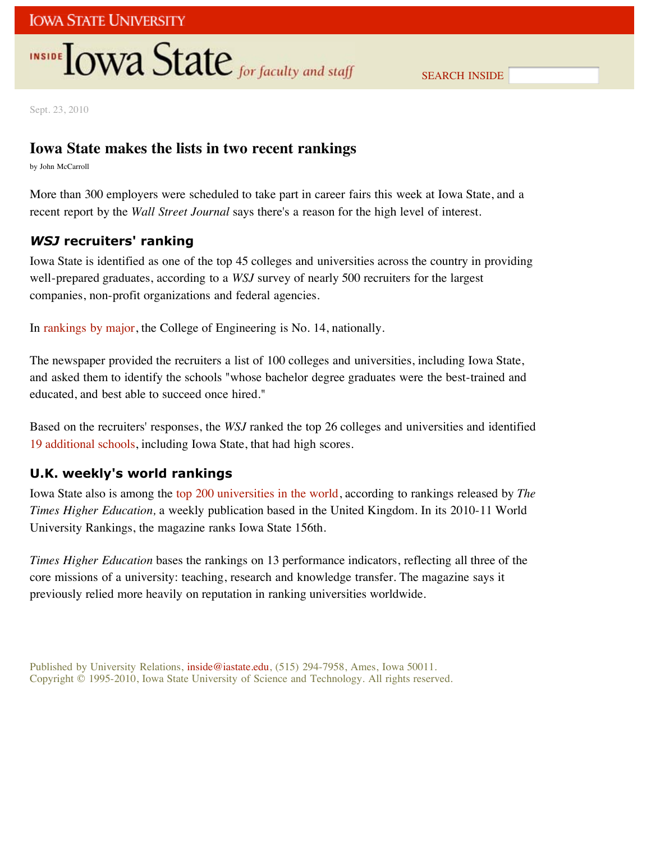SEARCH INSIDE

Sept. 23, 2010

## **Iowa State makes the lists in two recent rankings**

by John McCarroll

More than 300 employers were scheduled to take part in career fairs this week at Iowa State, and a recent report by the *Wall Street Journal* says there's a reason for the high level of interest.

### *WSJ* **recruiters' ranking**

Iowa State is identified as one of the top 45 colleges and universities across the country in providing well-prepared graduates, according to a *WSJ* survey of nearly 500 recruiters for the largest companies, non-profit organizations and federal agencies.

In rankings by major, the College of Engineering is No. 14, nationally.

The newspaper provided the recruiters a list of 100 colleges and universities, including Iowa State, and asked them to identify the schools "whose bachelor degree graduates were the best-trained and educated, and best able to succeed once hired."

Based on the recruiters' responses, the *WSJ* ranked the top 26 colleges and universities and identified 19 additional schools, including Iowa State, that had high scores.

### **U.K. weekly's world rankings**

Iowa State also is among the top 200 universities in the world, according to rankings released by *The Times Higher Education,* a weekly publication based in the United Kingdom. In its 2010-11 World University Rankings, the magazine ranks Iowa State 156th.

*Times Higher Education* bases the rankings on 13 performance indicators, reflecting all three of the core missions of a university: teaching, research and knowledge transfer. The magazine says it previously relied more heavily on reputation in ranking universities worldwide.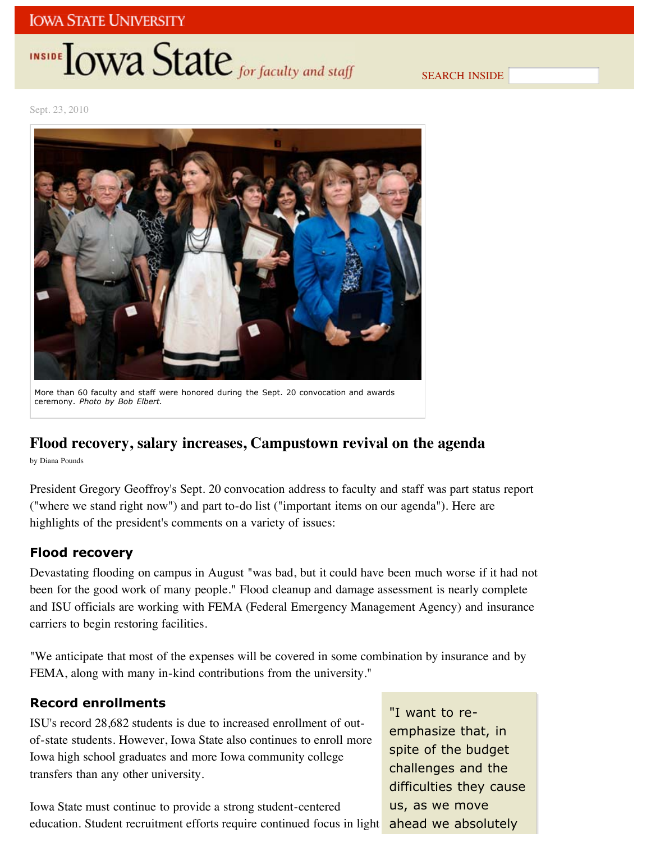# INSIDE **LOWA** State for faculty and staff

SEARCH INSIDE

Sept. 23, 2010



More than 60 faculty and staff were honored during the Sept. 20 convocation and awards ceremony. *Photo by Bob Elbert.*

### **Flood recovery, salary increases, Campustown revival on the agenda**

by Diana Pounds

President Gregory Geoffroy's Sept. 20 convocation address to faculty and staff was part status report ("where we stand right now") and part to-do list ("important items on our agenda"). Here are highlights of the president's comments on a variety of issues:

#### **Flood recovery**

Devastating flooding on campus in August "was bad, but it could have been much worse if it had not been for the good work of many people." Flood cleanup and damage assessment is nearly complete and ISU officials are working with FEMA (Federal Emergency Management Agency) and insurance carriers to begin restoring facilities.

"We anticipate that most of the expenses will be covered in some combination by insurance and by FEMA, along with many in-kind contributions from the university."

#### **Record enrollments**

ISU's record 28,682 students is due to increased enrollment of outof-state students. However, Iowa State also continues to enroll more Iowa high school graduates and more Iowa community college transfers than any other university.

Iowa State must continue to provide a strong student-centered education. Student recruitment efforts require continued focus in light

"I want to reemphasize that, in spite of the budget challenges and the difficulties they cause us, as we move ahead we absolutely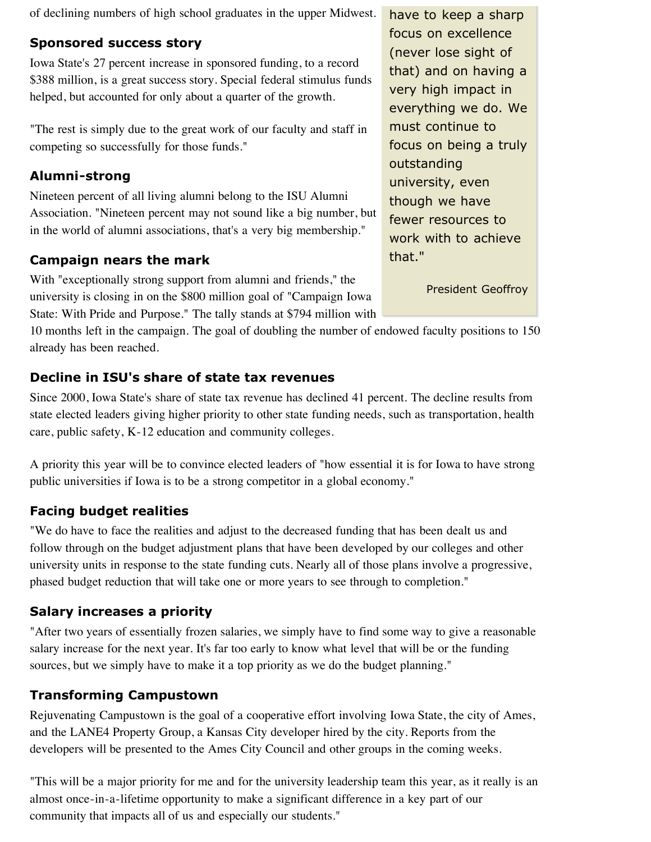of declining numbers of high school graduates in the upper Midwest.

### **Sponsored success story**

Iowa State's 27 percent increase in sponsored funding, to a record \$388 million, is a great success story. Special federal stimulus funds helped, but accounted for only about a quarter of the growth.

"The rest is simply due to the great work of our faculty and staff in competing so successfully for those funds."

### **Alumni-strong**

Nineteen percent of all living alumni belong to the ISU Alumni Association. "Nineteen percent may not sound like a big number, but in the world of alumni associations, that's a very big membership."

### **Campaign nears the mark**

With "exceptionally strong support from alumni and friends," the university is closing in on the \$800 million goal of "Campaign Iowa State: With Pride and Purpose." The tally stands at \$794 million with

10 months left in the campaign. The goal of doubling the number of endowed faculty positions to 150 already has been reached.

## **Decline in ISU's share of state tax revenues**

Since 2000, Iowa State's share of state tax revenue has declined 41 percent. The decline results from state elected leaders giving higher priority to other state funding needs, such as transportation, health care, public safety, K-12 education and community colleges.

A priority this year will be to convince elected leaders of "how essential it is for Iowa to have strong public universities if Iowa is to be a strong competitor in a global economy."

## **Facing budget realities**

"We do have to face the realities and adjust to the decreased funding that has been dealt us and follow through on the budget adjustment plans that have been developed by our colleges and other university units in response to the state funding cuts. Nearly all of those plans involve a progressive, phased budget reduction that will take one or more years to see through to completion."

### **Salary increases a priority**

"After two years of essentially frozen salaries, we simply have to find some way to give a reasonable salary increase for the next year. It's far too early to know what level that will be or the funding sources, but we simply have to make it a top priority as we do the budget planning."

## **Transforming Campustown**

Rejuvenating Campustown is the goal of a cooperative effort involving Iowa State, the city of Ames, and the LANE4 Property Group, a Kansas City developer hired by the city. Reports from the developers will be presented to the Ames City Council and other groups in the coming weeks.

"This will be a major priority for me and for the university leadership team this year, as it really is an almost once-in-a-lifetime opportunity to make a significant difference in a key part of our community that impacts all of us and especially our students."

have to keep a sharp focus on excellence (never lose sight of that) and on having a very high impact in everything we do. We must continue to focus on being a truly outstanding university, even though we have fewer resources to work with to achieve that."

President Geoffroy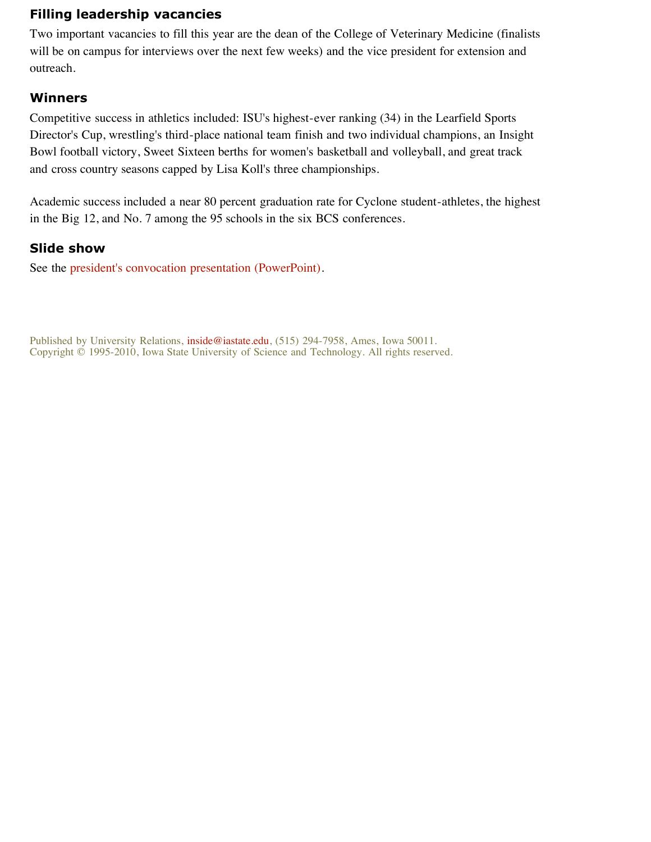### **Filling leadership vacancies**

Two important vacancies to fill this year are the dean of the College of Veterinary Medicine (finalists will be on campus for interviews over the next few weeks) and the vice president for extension and outreach.

#### **Winners**

Competitive success in athletics included: ISU's highest-ever ranking (34) in the Learfield Sports Director's Cup, wrestling's third-place national team finish and two individual champions, an Insight Bowl football victory, Sweet Sixteen berths for women's basketball and volleyball, and great track and cross country seasons capped by Lisa Koll's three championships.

Academic success included a near 80 percent graduation rate for Cyclone student-athletes, the highest in the Big 12, and No. 7 among the 95 schools in the six BCS conferences.

#### **Slide show**

See the president's convocation presentation (PowerPoint).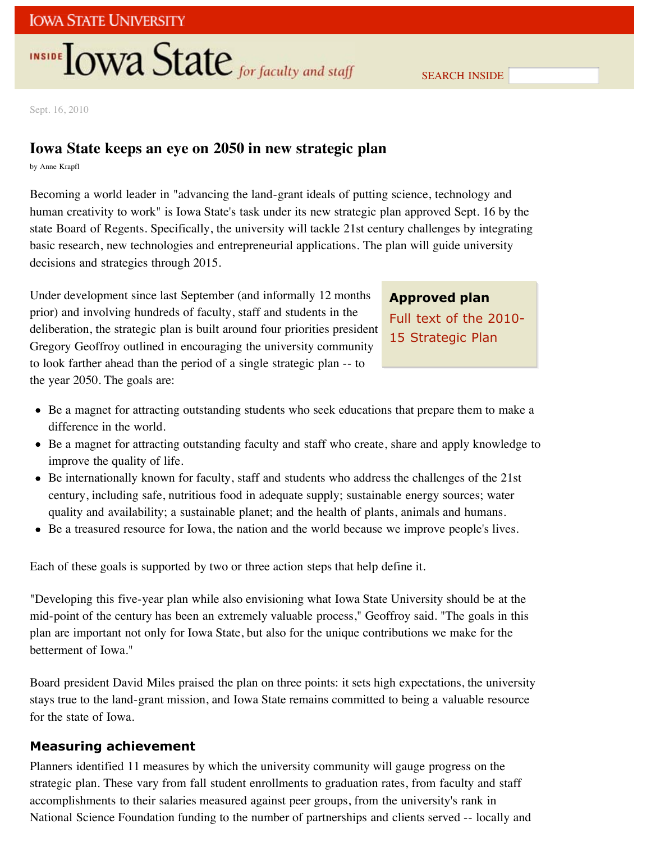SEARCH INSIDE

Sept. 16, 2010

## **Iowa State keeps an eye on 2050 in new strategic plan**

by Anne Krapfl

Becoming a world leader in "advancing the land-grant ideals of putting science, technology and human creativity to work" is Iowa State's task under its new strategic plan approved Sept. 16 by the state Board of Regents. Specifically, the university will tackle 21st century challenges by integrating basic research, new technologies and entrepreneurial applications. The plan will guide university decisions and strategies through 2015.

Under development since last September (and informally 12 months prior) and involving hundreds of faculty, staff and students in the deliberation, the strategic plan is built around four priorities president Gregory Geoffroy outlined in encouraging the university community to look farther ahead than the period of a single strategic plan -- to the year 2050. The goals are:

## **Approved plan** Full text of the 2010- 15 Strategic Plan

- Be a magnet for attracting outstanding students who seek educations that prepare them to make a difference in the world.
- Be a magnet for attracting outstanding faculty and staff who create, share and apply knowledge to improve the quality of life.
- Be internationally known for faculty, staff and students who address the challenges of the 21st century, including safe, nutritious food in adequate supply; sustainable energy sources; water quality and availability; a sustainable planet; and the health of plants, animals and humans.
- Be a treasured resource for Iowa, the nation and the world because we improve people's lives.

Each of these goals is supported by two or three action steps that help define it.

"Developing this five-year plan while also envisioning what Iowa State University should be at the mid-point of the century has been an extremely valuable process," Geoffroy said. "The goals in this plan are important not only for Iowa State, but also for the unique contributions we make for the betterment of Iowa."

Board president David Miles praised the plan on three points: it sets high expectations, the university stays true to the land-grant mission, and Iowa State remains committed to being a valuable resource for the state of Iowa.

#### **Measuring achievement**

Planners identified 11 measures by which the university community will gauge progress on the strategic plan. These vary from fall student enrollments to graduation rates, from faculty and staff accomplishments to their salaries measured against peer groups, from the university's rank in National Science Foundation funding to the number of partnerships and clients served -- locally and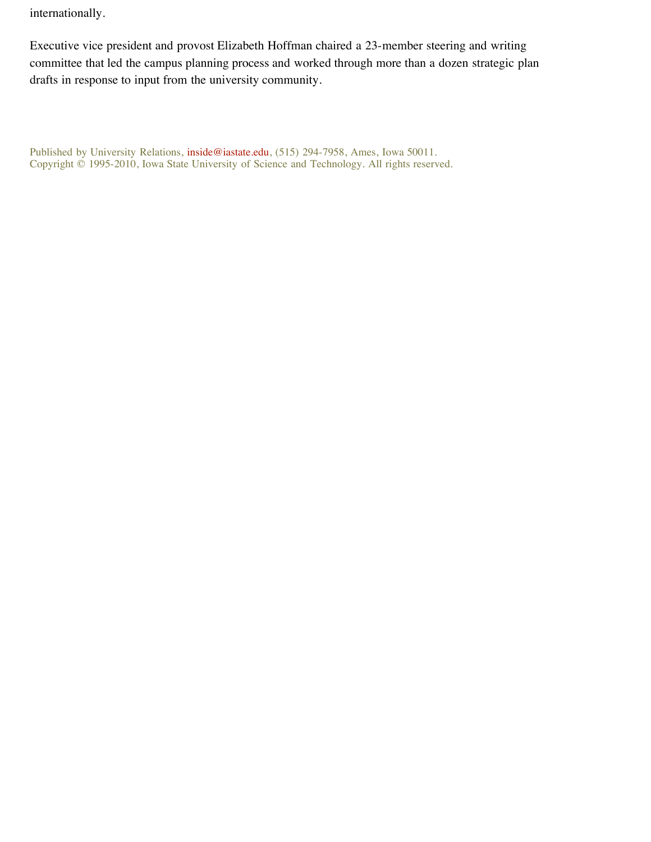internationally.

Executive vice president and provost Elizabeth Hoffman chaired a 23-member steering and writing committee that led the campus planning process and worked through more than a dozen strategic plan drafts in response to input from the university community.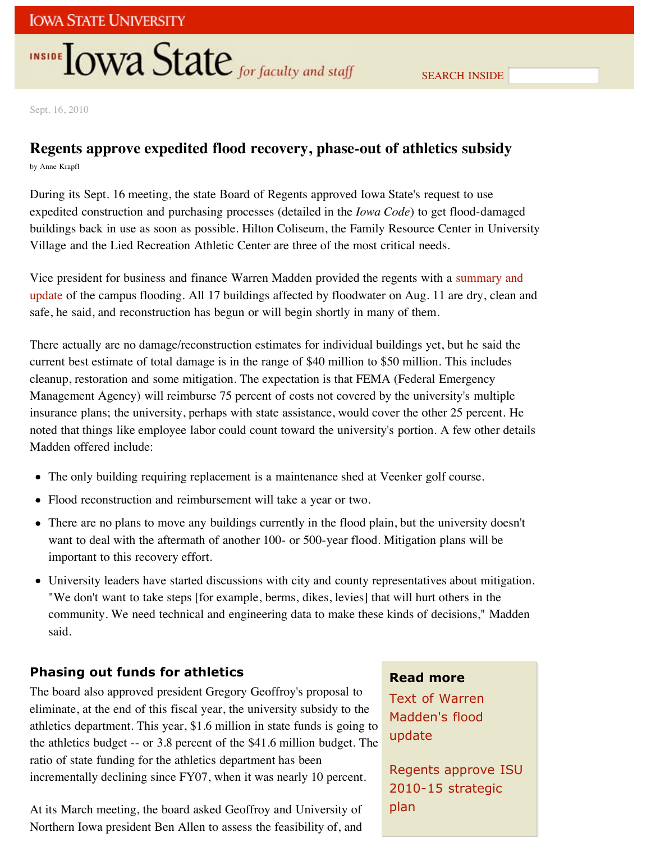Sept. 16, 2010

## **Regents approve expedited flood recovery, phase-out of athletics subsidy**

by Anne Krapfl

During its Sept. 16 meeting, the state Board of Regents approved Iowa State's request to use expedited construction and purchasing processes (detailed in the *Iowa Code*) to get flood-damaged buildings back in use as soon as possible. Hilton Coliseum, the Family Resource Center in University Village and the Lied Recreation Athletic Center are three of the most critical needs.

Vice president for business and finance Warren Madden provided the regents with a summary and update of the campus flooding. All 17 buildings affected by floodwater on Aug. 11 are dry, clean and safe, he said, and reconstruction has begun or will begin shortly in many of them.

There actually are no damage/reconstruction estimates for individual buildings yet, but he said the current best estimate of total damage is in the range of \$40 million to \$50 million. This includes cleanup, restoration and some mitigation. The expectation is that FEMA (Federal Emergency Management Agency) will reimburse 75 percent of costs not covered by the university's multiple insurance plans; the university, perhaps with state assistance, would cover the other 25 percent. He noted that things like employee labor could count toward the university's portion. A few other details Madden offered include:

- The only building requiring replacement is a maintenance shed at Veenker golf course.
- Flood reconstruction and reimbursement will take a year or two.
- There are no plans to move any buildings currently in the flood plain, but the university doesn't want to deal with the aftermath of another 100- or 500-year flood. Mitigation plans will be important to this recovery effort.
- University leaders have started discussions with city and county representatives about mitigation. "We don't want to take steps [for example, berms, dikes, levies] that will hurt others in the community. We need technical and engineering data to make these kinds of decisions," Madden said.

#### **Phasing out funds for athletics**

The board also approved president Gregory Geoffroy's proposal to eliminate, at the end of this fiscal year, the university subsidy to the athletics department. This year, \$1.6 million in state funds is going to the athletics budget -- or 3.8 percent of the \$41.6 million budget. The ratio of state funding for the athletics department has been incrementally declining since FY07, when it was nearly 10 percent.

At its March meeting, the board asked Geoffroy and University of Northern Iowa president Ben Allen to assess the feasibility of, and

#### **Read more**

Text of Warren Madden's flood update

Regents approve ISU 2010-15 strategic plan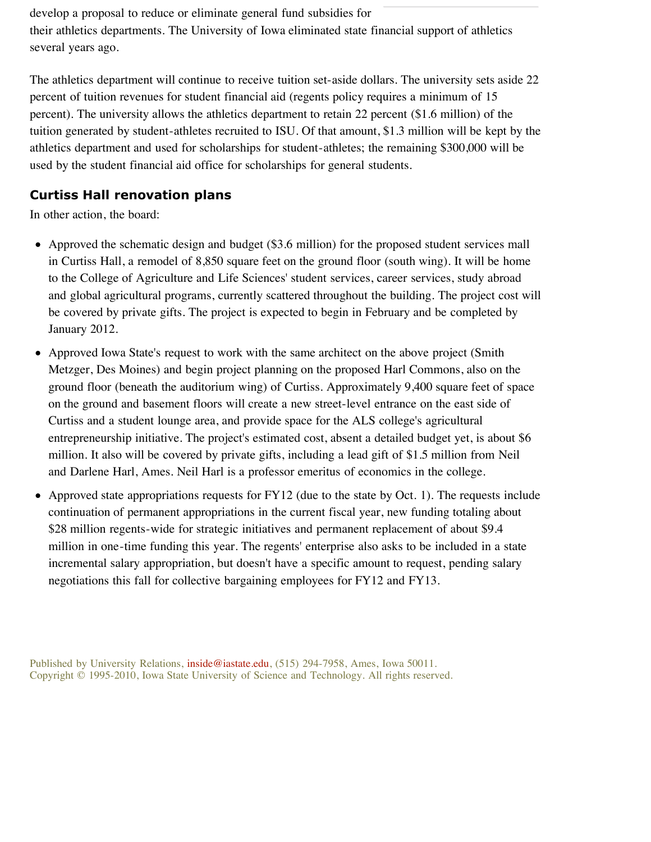develop a proposal to reduce or eliminate general fund subsidies for their athletics departments. The University of Iowa eliminated state financial support of athletics several years ago.

The athletics department will continue to receive tuition set-aside dollars. The university sets aside 22 percent of tuition revenues for student financial aid (regents policy requires a minimum of 15 percent). The university allows the athletics department to retain 22 percent (\$1.6 million) of the tuition generated by student-athletes recruited to ISU. Of that amount, \$1.3 million will be kept by the athletics department and used for scholarships for student-athletes; the remaining \$300,000 will be used by the student financial aid office for scholarships for general students.

### **Curtiss Hall renovation plans**

In other action, the board:

- Approved the schematic design and budget (\$3.6 million) for the proposed student services mall in Curtiss Hall, a remodel of 8,850 square feet on the ground floor (south wing). It will be home to the College of Agriculture and Life Sciences' student services, career services, study abroad and global agricultural programs, currently scattered throughout the building. The project cost will be covered by private gifts. The project is expected to begin in February and be completed by January 2012.
- Approved Iowa State's request to work with the same architect on the above project (Smith Metzger, Des Moines) and begin project planning on the proposed Harl Commons, also on the ground floor (beneath the auditorium wing) of Curtiss. Approximately 9,400 square feet of space on the ground and basement floors will create a new street-level entrance on the east side of Curtiss and a student lounge area, and provide space for the ALS college's agricultural entrepreneurship initiative. The project's estimated cost, absent a detailed budget yet, is about \$6 million. It also will be covered by private gifts, including a lead gift of \$1.5 million from Neil and Darlene Harl, Ames. Neil Harl is a professor emeritus of economics in the college.
- Approved state appropriations requests for FY12 (due to the state by Oct. 1). The requests include continuation of permanent appropriations in the current fiscal year, new funding totaling about \$28 million regents-wide for strategic initiatives and permanent replacement of about \$9.4 million in one-time funding this year. The regents' enterprise also asks to be included in a state incremental salary appropriation, but doesn't have a specific amount to request, pending salary negotiations this fall for collective bargaining employees for FY12 and FY13.